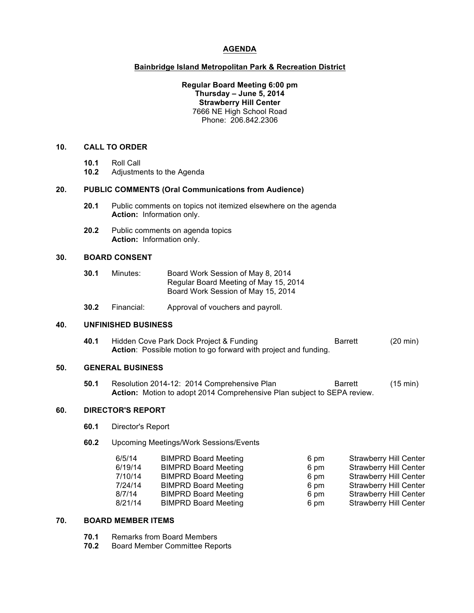# **AGENDA**

### **Bainbridge Island Metropolitan Park & Recreation District**

## **Regular Board Meeting 6:00 pm Thursday – June 5, 2014 Strawberry Hill Center** 7666 NE High School Road Phone: 206.842.2306

#### **10. CALL TO ORDER**

- **10.1** Roll Call
- **10.2** Adjustments to the Agenda

#### **20. PUBLIC COMMENTS (Oral Communications from Audience)**

- **20.1** Public comments on topics not itemized elsewhere on the agenda **Action:** Information only.
- **20.2** Public comments on agenda topics **Action:** Information only.

## **30. BOARD CONSENT**

- **30.1** Minutes: Board Work Session of May 8, 2014 Regular Board Meeting of May 15, 2014 Board Work Session of May 15, 2014
- **30.2** Financial: Approval of vouchers and payroll.

#### **40. UNFINISHED BUSINESS**

**40.1** Hidden Cove Park Dock Project & Funding Barrett (20 min) **Action**: Possible motion to go forward with project and funding.

#### **50. GENERAL BUSINESS**

**50.1** Resolution 2014-12: 2014 Comprehensive Plan Barrett (15 min) **Action:** Motion to adopt 2014 Comprehensive Plan subject to SEPA review.

# **60. DIRECTOR'S REPORT**

- **60.1** Director's Report
- **60.2** Upcoming Meetings/Work Sessions/Events

| 6/5/14  | <b>BIMPRD Board Meeting</b> | 6 pm | <b>Strawberry Hill Center</b> |
|---------|-----------------------------|------|-------------------------------|
| 6/19/14 | <b>BIMPRD Board Meeting</b> | 6 pm | <b>Strawberry Hill Center</b> |
| 7/10/14 | <b>BIMPRD Board Meeting</b> | 6 pm | <b>Strawberry Hill Center</b> |
| 7/24/14 | <b>BIMPRD Board Meeting</b> | 6 pm | <b>Strawberry Hill Center</b> |
| 8/7/14  | <b>BIMPRD Board Meeting</b> | 6 pm | <b>Strawberry Hill Center</b> |
| 8/21/14 | <b>BIMPRD Board Meeting</b> | 6 pm | <b>Strawberry Hill Center</b> |

#### **70. BOARD MEMBER ITEMS**

- **70.1** Remarks from Board Members
- **70.2** Board Member Committee Reports